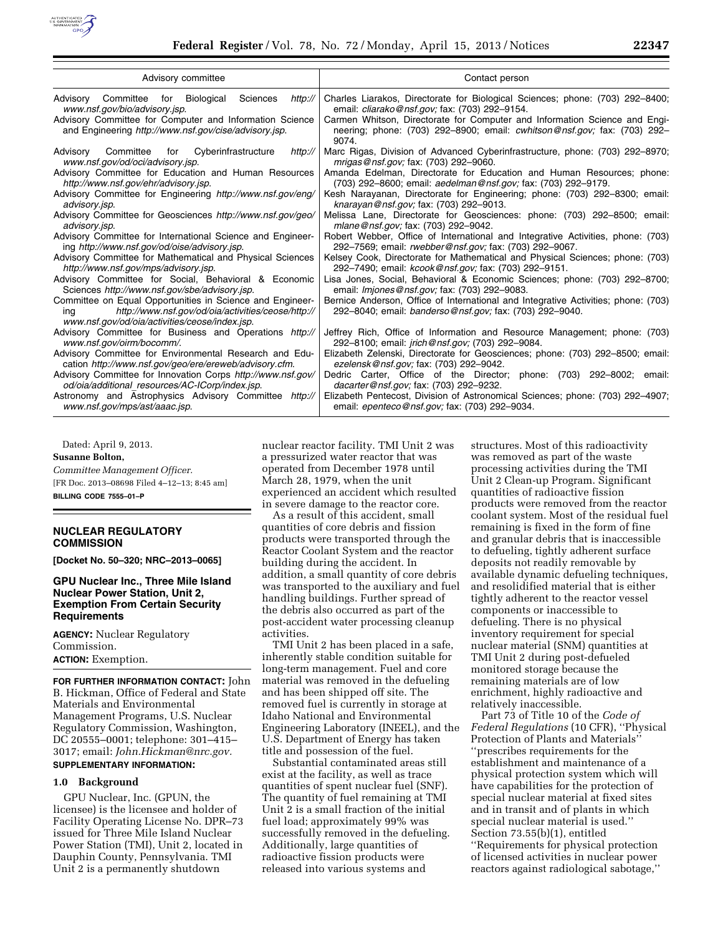

| Advisory committee                                                                                                                                                       | Contact person                                                                                                                                                         |
|--------------------------------------------------------------------------------------------------------------------------------------------------------------------------|------------------------------------------------------------------------------------------------------------------------------------------------------------------------|
| Advisory Committee for Biological<br>Sciences<br>http://<br>www.nsf.gov/bio/advisory.jsp.                                                                                | Charles Liarakos, Directorate for Biological Sciences; phone: (703) 292-8400;<br>email: <i>cliarako@nsf.gov</i> ; fax: (703) 292-9154.                                 |
| Advisory Committee for Computer and Information Science<br>and Engineering http://www.nsf.gov/cise/advisory.jsp.                                                         | Carmen Whitson, Directorate for Computer and Information Science and Engi-<br>neering; phone: (703) 292-8900; email: <i>cwhitson@nsf.gov;</i> fax: (703) 292-<br>9074. |
| Advisory Committee for Cyberinfrastructure<br>http://<br>www.nsf.gov/od/oci/advisory.jsp.                                                                                | Marc Rigas, Division of Advanced Cyberinfrastructure, phone: (703) 292–8970;<br><i>mrigas@nsf.gov;</i> fax: (703) 292–9060.                                            |
| Advisory Committee for Education and Human Resources                                                                                                                     | Amanda Edelman, Directorate for Education and Human Resources; phone:                                                                                                  |
| http://www.nsf.gov/ehr/advisory.jsp.                                                                                                                                     | (703) 292-8600; email: aedelman@nsf.gov; fax: (703) 292-9179.                                                                                                          |
| Advisory Committee for Engineering http://www.nsf.gov/eng/                                                                                                               | Kesh Narayanan, Directorate for Engineering; phone: (703) 292-8300; email:                                                                                             |
| advisory.jsp.                                                                                                                                                            | knarayan@nsf.gov; fax: (703) 292-9013.                                                                                                                                 |
| Advisory Committee for Geosciences http://www.nsf.gov/geo/                                                                                                               | Melissa Lane, Directorate for Geosciences: phone: (703) 292-8500; email:                                                                                               |
| advisory.jsp.                                                                                                                                                            | mlane@nsf.gov; fax: (703) 292-9042.                                                                                                                                    |
| Advisory Committee for International Science and Engineer-                                                                                                               | Robert Webber, Office of International and Integrative Activities, phone: (703)                                                                                        |
| ing http://www.nsf.gov/od/oise/advisory.jsp.                                                                                                                             | 292-7569; email: rwebber@nsf.gov; fax: (703) 292-9067.                                                                                                                 |
| Advisory Committee for Mathematical and Physical Sciences                                                                                                                | Kelsey Cook, Directorate for Mathematical and Physical Sciences; phone: (703)                                                                                          |
| http://www.nsf.gov/mps/advisory.jsp.                                                                                                                                     | 292-7490; email: kcook@nsf.gov; fax: (703) 292-9151.                                                                                                                   |
| Advisory Committee for Social, Behavioral & Economic                                                                                                                     | Lisa Jones, Social, Behavioral & Economic Sciences; phone: (703) 292-8700;                                                                                             |
| Sciences http://www.nsf.gov/sbe/advisory.jsp.                                                                                                                            | email: <i>Imjones@nsf.gov</i> ; fax: (703) 292-9083.                                                                                                                   |
| Committee on Equal Opportunities in Science and Engineer-<br>http://www.nsf.gov/od/oia/activities/ceose/http://<br>ing<br>www.nsf.gov/od/oia/activities/ceose/index.jsp. | Bernice Anderson, Office of International and Integrative Activities; phone: (703)<br>292-8040; email: banderso@nsf.gov; fax: (703) 292-9040.                          |
| Advisory Committee for Business and Operations http://                                                                                                                   | Jeffrey Rich, Office of Information and Resource Management; phone: (703)                                                                                              |
| www.nsf.gov/oirm/bocomm/.                                                                                                                                                | 292-8100; email: jrich@nsf.gov; (703) 292-9084.                                                                                                                        |
| Advisory Committee for Environmental Research and Edu-                                                                                                                   | Elizabeth Zelenski, Directorate for Geosciences; phone: (703) 292-8500; email:                                                                                         |
| cation http://www.nsf.gov/geo/ere/ereweb/advisory.cfm.                                                                                                                   | ezelensk@nsf.gov; fax: (703) 292-9042.                                                                                                                                 |
| Advisory Committee for Innovation Corps http://www.nsf.gov/                                                                                                              | Dedric Carter, Office of the Director; phone: (703) 292-8002; email:                                                                                                   |
| od/oia/additional resources/AC-ICorp/index.jsp.                                                                                                                          | dacarter@nsf.gov; fax: (703) 292-9232.                                                                                                                                 |
| Astronomy and Astrophysics Advisory Committee http://                                                                                                                    | Elizabeth Pentecost, Division of Astronomical Sciences; phone: (703) 292-4907;                                                                                         |
| www.nsf.gov/mps/ast/aaac.jsp.                                                                                                                                            | email: <i>epenteco@nsf.gov</i> ; fax: (703) 292-9034.                                                                                                                  |

Dated: April 9, 2013.

**Susanne Bolton,** 

*Committee Management Officer.*  [FR Doc. 2013–08698 Filed 4–12–13; 8:45 am]

**BILLING CODE 7555–01–P** 

# **NUCLEAR REGULATORY COMMISSION**

**[Docket No. 50–320; NRC–2013–0065]** 

# **GPU Nuclear Inc., Three Mile Island Nuclear Power Station, Unit 2, Exemption From Certain Security Requirements**

**AGENCY:** Nuclear Regulatory Commission. **ACTION:** Exemption.

**FOR FURTHER INFORMATION CONTACT:** John B. Hickman, Office of Federal and State Materials and Environmental Management Programs, U.S. Nuclear Regulatory Commission, Washington, DC 20555–0001; telephone: 301–415– 3017; email: *[John.Hickman@nrc.gov.](mailto:John.Hickman@nrc.gov)*  **SUPPLEMENTARY INFORMATION:** 

#### **1.0 Background**

GPU Nuclear, Inc. (GPUN, the licensee) is the licensee and holder of Facility Operating License No. DPR–73 issued for Three Mile Island Nuclear Power Station (TMI), Unit 2, located in Dauphin County, Pennsylvania. TMI Unit 2 is a permanently shutdown

nuclear reactor facility. TMI Unit 2 was a pressurized water reactor that was operated from December 1978 until March 28, 1979, when the unit experienced an accident which resulted in severe damage to the reactor core.

As a result of this accident, small quantities of core debris and fission products were transported through the Reactor Coolant System and the reactor building during the accident. In addition, a small quantity of core debris was transported to the auxiliary and fuel handling buildings. Further spread of the debris also occurred as part of the post-accident water processing cleanup activities.

TMI Unit 2 has been placed in a safe, inherently stable condition suitable for long-term management. Fuel and core material was removed in the defueling and has been shipped off site. The removed fuel is currently in storage at Idaho National and Environmental Engineering Laboratory (INEEL), and the U.S. Department of Energy has taken title and possession of the fuel.

Substantial contaminated areas still exist at the facility, as well as trace quantities of spent nuclear fuel (SNF). The quantity of fuel remaining at TMI Unit 2 is a small fraction of the initial fuel load; approximately 99% was successfully removed in the defueling. Additionally, large quantities of radioactive fission products were released into various systems and

structures. Most of this radioactivity was removed as part of the waste processing activities during the TMI Unit 2 Clean-up Program. Significant quantities of radioactive fission products were removed from the reactor coolant system. Most of the residual fuel remaining is fixed in the form of fine and granular debris that is inaccessible to defueling, tightly adherent surface deposits not readily removable by available dynamic defueling techniques, and resolidified material that is either tightly adherent to the reactor vessel components or inaccessible to defueling. There is no physical inventory requirement for special nuclear material (SNM) quantities at TMI Unit 2 during post-defueled monitored storage because the remaining materials are of low enrichment, highly radioactive and relatively inaccessible.

Part 73 of Title 10 of the *Code of Federal Regulations* (10 CFR), ''Physical Protection of Plants and Materials'' ''prescribes requirements for the establishment and maintenance of a physical protection system which will have capabilities for the protection of special nuclear material at fixed sites and in transit and of plants in which special nuclear material is used.'' Section 73.55(b)(1), entitled ''Requirements for physical protection of licensed activities in nuclear power reactors against radiological sabotage,''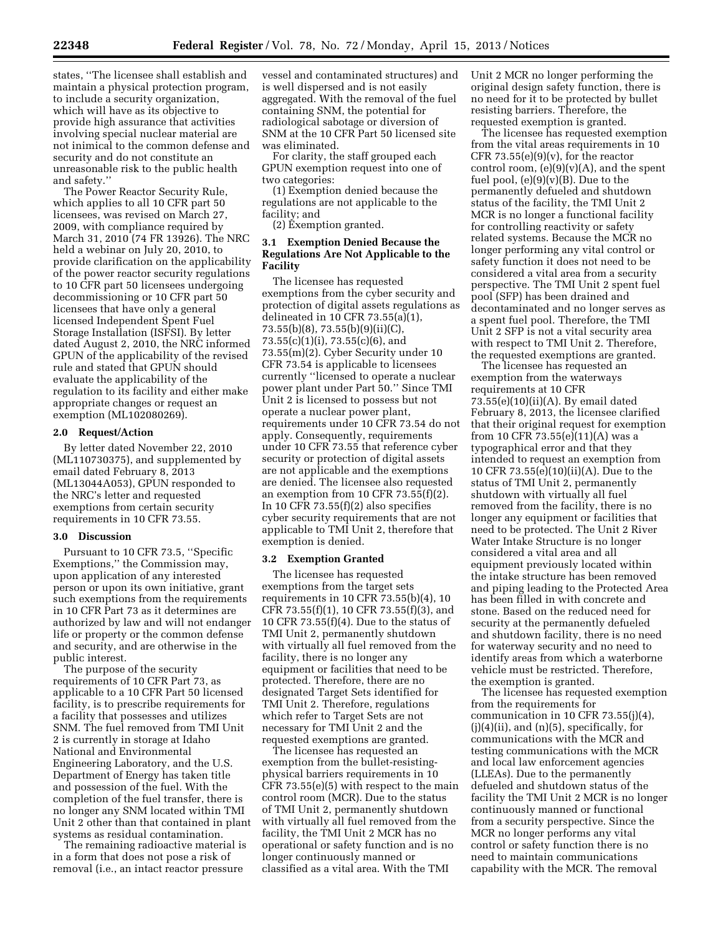states, ''The licensee shall establish and maintain a physical protection program, to include a security organization, which will have as its objective to provide high assurance that activities involving special nuclear material are not inimical to the common defense and security and do not constitute an unreasonable risk to the public health and safety.''

The Power Reactor Security Rule, which applies to all 10 CFR part 50 licensees, was revised on March 27, 2009, with compliance required by March 31, 2010 (74 FR 13926). The NRC held a webinar on July 20, 2010, to provide clarification on the applicability of the power reactor security regulations to 10 CFR part 50 licensees undergoing decommissioning or 10 CFR part 50 licensees that have only a general licensed Independent Spent Fuel Storage Installation (ISFSI). By letter dated August 2, 2010, the NRC informed GPUN of the applicability of the revised rule and stated that GPUN should evaluate the applicability of the regulation to its facility and either make appropriate changes or request an exemption (ML102080269).

#### **2.0 Request/Action**

By letter dated November 22, 2010 (ML110730375), and supplemented by email dated February 8, 2013 (ML13044A053), GPUN responded to the NRC's letter and requested exemptions from certain security requirements in 10 CFR 73.55.

### **3.0 Discussion**

Pursuant to 10 CFR 73.5, ''Specific Exemptions,'' the Commission may, upon application of any interested person or upon its own initiative, grant such exemptions from the requirements in 10 CFR Part 73 as it determines are authorized by law and will not endanger life or property or the common defense and security, and are otherwise in the public interest.

The purpose of the security requirements of 10 CFR Part 73, as applicable to a 10 CFR Part 50 licensed facility, is to prescribe requirements for a facility that possesses and utilizes SNM. The fuel removed from TMI Unit 2 is currently in storage at Idaho National and Environmental Engineering Laboratory, and the U.S. Department of Energy has taken title and possession of the fuel. With the completion of the fuel transfer, there is no longer any SNM located within TMI Unit 2 other than that contained in plant systems as residual contamination.

The remaining radioactive material is in a form that does not pose a risk of removal (i.e., an intact reactor pressure

vessel and contaminated structures) and is well dispersed and is not easily aggregated. With the removal of the fuel containing SNM, the potential for radiological sabotage or diversion of SNM at the 10 CFR Part 50 licensed site was eliminated.

For clarity, the staff grouped each GPUN exemption request into one of two categories:

(1) Exemption denied because the regulations are not applicable to the facility; and

(2) Exemption granted.

# **3.1 Exemption Denied Because the Regulations Are Not Applicable to the Facility**

The licensee has requested exemptions from the cyber security and protection of digital assets regulations as delineated in 10 CFR 73.55(a)(1), 73.55(b)(8), 73.55(b)(9)(ii)(C), 73.55(c)(1)(i), 73.55(c)(6), and 73.55(m)(2). Cyber Security under 10 CFR 73.54 is applicable to licensees currently ''licensed to operate a nuclear power plant under Part 50.'' Since TMI Unit 2 is licensed to possess but not operate a nuclear power plant, requirements under 10 CFR 73.54 do not apply. Consequently, requirements under 10 CFR 73.55 that reference cyber security or protection of digital assets are not applicable and the exemptions are denied. The licensee also requested an exemption from 10 CFR 73.55(f)(2). In 10 CFR  $73.55(f)(2)$  also specifies cyber security requirements that are not applicable to TMI Unit 2, therefore that exemption is denied.

#### **3.2 Exemption Granted**

The licensee has requested exemptions from the target sets requirements in 10 CFR 73.55(b)(4), 10 CFR 73.55(f)(1), 10 CFR 73.55(f)(3), and 10 CFR 73.55(f)(4). Due to the status of TMI Unit 2, permanently shutdown with virtually all fuel removed from the facility, there is no longer any equipment or facilities that need to be protected. Therefore, there are no designated Target Sets identified for TMI Unit 2. Therefore, regulations which refer to Target Sets are not necessary for TMI Unit 2 and the requested exemptions are granted.

The licensee has requested an exemption from the bullet-resistingphysical barriers requirements in 10 CFR 73.55(e)(5) with respect to the main control room (MCR). Due to the status of TMI Unit 2, permanently shutdown with virtually all fuel removed from the facility, the TMI Unit 2 MCR has no operational or safety function and is no longer continuously manned or classified as a vital area. With the TMI

Unit 2 MCR no longer performing the original design safety function, there is no need for it to be protected by bullet resisting barriers. Therefore, the requested exemption is granted.

The licensee has requested exemption from the vital areas requirements in 10 CFR 73.55 $(e)(9)(v)$ , for the reactor control room,  $(e)(9)(v)(A)$ , and the spent fuel pool,  $(e)(9)(v)(B)$ . Due to the permanently defueled and shutdown status of the facility, the TMI Unit 2 MCR is no longer a functional facility for controlling reactivity or safety related systems. Because the MCR no longer performing any vital control or safety function it does not need to be considered a vital area from a security perspective. The TMI Unit 2 spent fuel pool (SFP) has been drained and decontaminated and no longer serves as a spent fuel pool. Therefore, the TMI Unit 2 SFP is not a vital security area with respect to TMI Unit 2. Therefore, the requested exemptions are granted.

The licensee has requested an exemption from the waterways requirements at 10 CFR 73.55(e)(10)(ii)(A). By email dated February 8, 2013, the licensee clarified that their original request for exemption from 10 CFR 73.55(e)(11)(A) was a typographical error and that they intended to request an exemption from 10 CFR 73.55(e)(10)(ii)(A). Due to the status of TMI Unit 2, permanently shutdown with virtually all fuel removed from the facility, there is no longer any equipment or facilities that need to be protected. The Unit 2 River Water Intake Structure is no longer considered a vital area and all equipment previously located within the intake structure has been removed and piping leading to the Protected Area has been filled in with concrete and stone. Based on the reduced need for security at the permanently defueled and shutdown facility, there is no need for waterway security and no need to identify areas from which a waterborne vehicle must be restricted. Therefore, the exemption is granted.

The licensee has requested exemption from the requirements for communication in 10 CFR  $73.55(j)(4)$ , (j)(4)(ii), and (n)(5), specifically, for communications with the MCR and testing communications with the MCR and local law enforcement agencies (LLEAs). Due to the permanently defueled and shutdown status of the facility the TMI Unit 2 MCR is no longer continuously manned or functional from a security perspective. Since the MCR no longer performs any vital control or safety function there is no need to maintain communications capability with the MCR. The removal